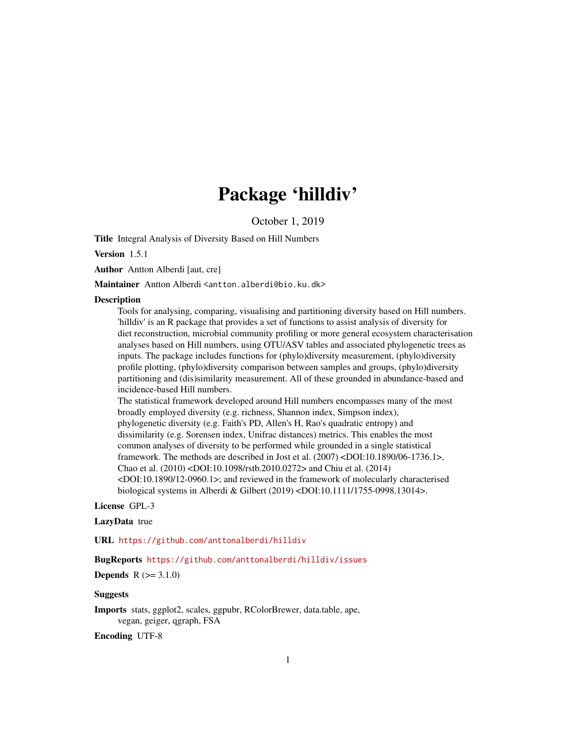# Package 'hilldiv'

October 1, 2019

Title Integral Analysis of Diversity Based on Hill Numbers

Version 1.5.1

Author Antton Alberdi [aut, cre]

Maintainer Antton Alberdi <antton.alberdi@bio.ku.dk>

#### **Description**

Tools for analysing, comparing, visualising and partitioning diversity based on Hill numbers. 'hilldiv' is an R package that provides a set of functions to assist analysis of diversity for diet reconstruction, microbial community profiling or more general ecosystem characterisation analyses based on Hill numbers, using OTU/ASV tables and associated phylogenetic trees as inputs. The package includes functions for (phylo)diversity measurement, (phylo)diversity profile plotting, (phylo)diversity comparison between samples and groups, (phylo)diversity partitioning and (dis)similarity measurement. All of these grounded in abundance-based and incidence-based Hill numbers.

The statistical framework developed around Hill numbers encompasses many of the most broadly employed diversity (e.g. richness, Shannon index, Simpson index), phylogenetic diversity (e.g. Faith's PD, Allen's H, Rao's quadratic entropy) and dissimilarity (e.g. Sorensen index, Unifrac distances) metrics. This enables the most common analyses of diversity to be performed while grounded in a single statistical framework. The methods are described in Jost et al. (2007) <DOI:10.1890/06-1736.1>, Chao et al. (2010) <DOI:10.1098/rstb.2010.0272> and Chiu et al. (2014) <DOI:10.1890/12-0960.1>; and reviewed in the framework of molecularly characterised biological systems in Alberdi & Gilbert (2019) <DOI:10.1111/1755-0998.13014>.

#### License GPL-3

# LazyData true

URL <https://github.com/anttonalberdi/hilldiv>

#### BugReports <https://github.com/anttonalberdi/hilldiv/issues>

**Depends**  $R (= 3.1.0)$ 

#### Suggests

Imports stats, ggplot2, scales, ggpubr, RColorBrewer, data.table, ape, vegan, geiger, qgraph, FSA

Encoding UTF-8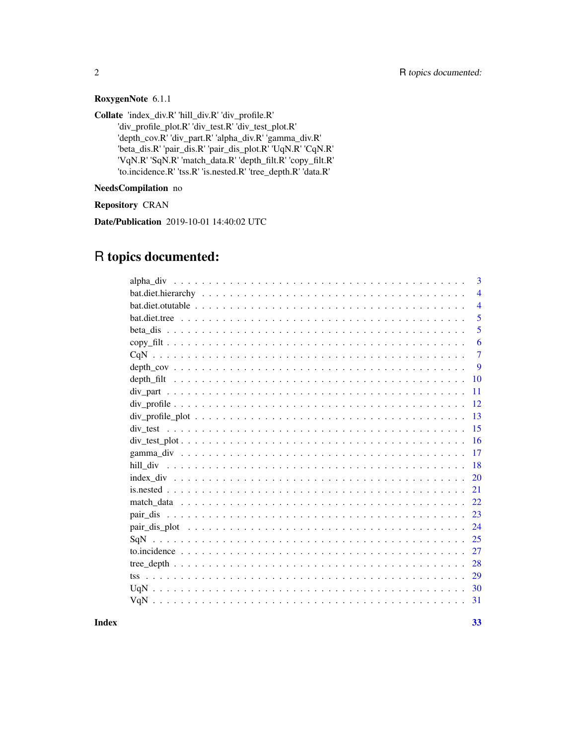# RoxygenNote 6.1.1

Collate 'index\_div.R' 'hill\_div.R' 'div\_profile.R'

'div\_profile\_plot.R' 'div\_test.R' 'div\_test\_plot.R' 'depth\_cov.R' 'div\_part.R' 'alpha\_div.R' 'gamma\_div.R' 'beta\_dis.R' 'pair\_dis.R' 'pair\_dis\_plot.R' 'UqN.R' 'CqN.R' 'VqN.R' 'SqN.R' 'match\_data.R' 'depth\_filt.R' 'copy\_filt.R' 'to.incidence.R' 'tss.R' 'is.nested.R' 'tree\_depth.R' 'data.R'

NeedsCompilation no

Repository CRAN

Date/Publication 2019-10-01 14:40:02 UTC

# R topics documented:

|                                                                                                          | 3              |
|----------------------------------------------------------------------------------------------------------|----------------|
|                                                                                                          | $\overline{4}$ |
|                                                                                                          | $\overline{4}$ |
|                                                                                                          | 5              |
|                                                                                                          | 5              |
|                                                                                                          | 6              |
|                                                                                                          | $\overline{7}$ |
|                                                                                                          | 9              |
|                                                                                                          | <b>10</b>      |
|                                                                                                          | 11             |
|                                                                                                          | 12             |
| $div\_profile\_plot \ldots \ldots \ldots \ldots \ldots \ldots \ldots \ldots \ldots \ldots \ldots \ldots$ | 13             |
|                                                                                                          | 15             |
|                                                                                                          | 16             |
|                                                                                                          | 17             |
|                                                                                                          | 18             |
|                                                                                                          | 20             |
|                                                                                                          | 21             |
|                                                                                                          | 22             |
|                                                                                                          | 23             |
|                                                                                                          | 24             |
|                                                                                                          | 25             |
|                                                                                                          | 27             |
|                                                                                                          | 28             |
|                                                                                                          | 29             |
|                                                                                                          | 30             |
|                                                                                                          | 31             |
|                                                                                                          |                |

**Index** [33](#page-32-0)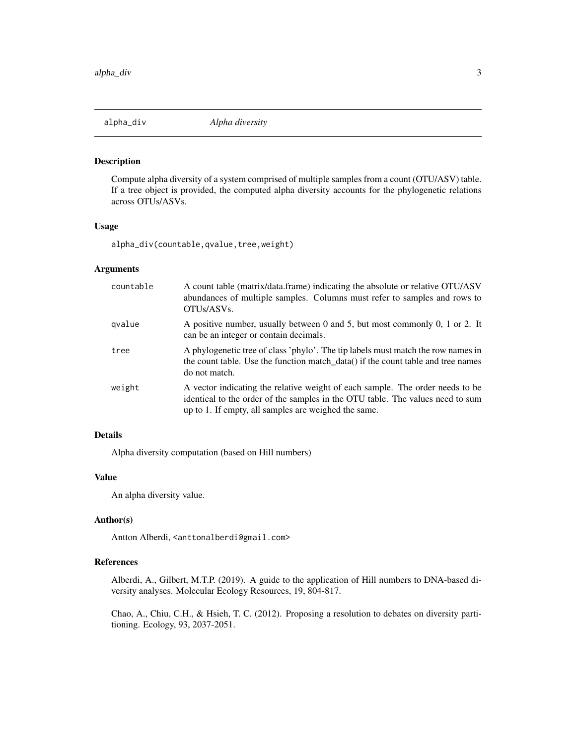<span id="page-2-1"></span><span id="page-2-0"></span>

Compute alpha diversity of a system comprised of multiple samples from a count (OTU/ASV) table. If a tree object is provided, the computed alpha diversity accounts for the phylogenetic relations across OTUs/ASVs.

# Usage

alpha\_div(countable,qvalue,tree,weight)

# Arguments

| countable | A count table (matrix/data.frame) indicating the absolute or relative OTU/ASV<br>abundances of multiple samples. Columns must refer to samples and rows to<br>OTUs/ASVs.                                                |
|-----------|-------------------------------------------------------------------------------------------------------------------------------------------------------------------------------------------------------------------------|
| gvalue    | A positive number, usually between 0 and 5, but most commonly 0, 1 or 2. It<br>can be an integer or contain decimals.                                                                                                   |
| tree      | A phylogenetic tree of class 'phylo'. The tip labels must match the row names in<br>the count table. Use the function match_data() if the count table and tree names<br>do not match.                                   |
| weight    | A vector indicating the relative weight of each sample. The order needs to be<br>identical to the order of the samples in the OTU table. The values need to sum<br>up to 1. If empty, all samples are weighed the same. |

# Details

Alpha diversity computation (based on Hill numbers)

# Value

An alpha diversity value.

#### Author(s)

Antton Alberdi, <anttonalberdi@gmail.com>

# References

Alberdi, A., Gilbert, M.T.P. (2019). A guide to the application of Hill numbers to DNA-based diversity analyses. Molecular Ecology Resources, 19, 804-817.

Chao, A., Chiu, C.H., & Hsieh, T. C. (2012). Proposing a resolution to debates on diversity partitioning. Ecology, 93, 2037-2051.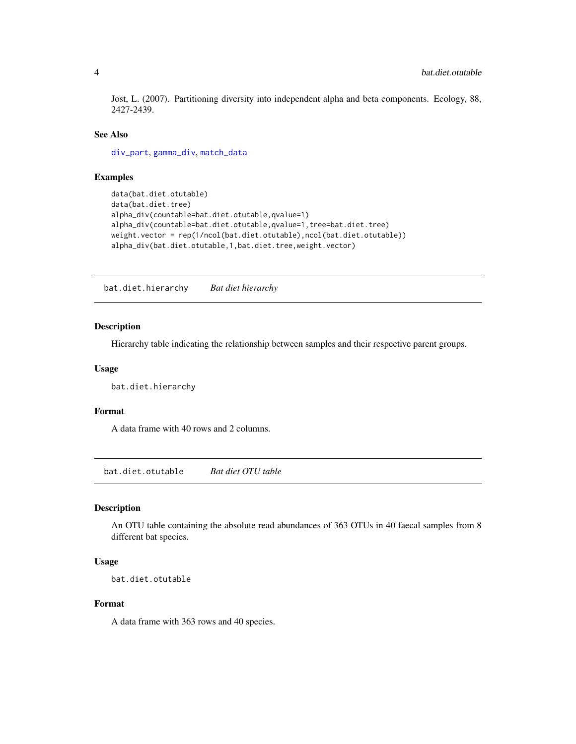<span id="page-3-0"></span>Jost, L. (2007). Partitioning diversity into independent alpha and beta components. Ecology, 88, 2427-2439.

#### See Also

[div\\_part](#page-10-1), [gamma\\_div](#page-16-1), [match\\_data](#page-21-1)

#### Examples

```
data(bat.diet.otutable)
data(bat.diet.tree)
alpha_div(countable=bat.diet.otutable,qvalue=1)
alpha_div(countable=bat.diet.otutable,qvalue=1,tree=bat.diet.tree)
weight.vector = rep(1/ncol(bat.diet.otutable),ncol(bat.diet.otutable))
alpha_div(bat.diet.otutable,1,bat.diet.tree,weight.vector)
```
bat.diet.hierarchy *Bat diet hierarchy*

# Description

Hierarchy table indicating the relationship between samples and their respective parent groups.

#### Usage

bat.diet.hierarchy

#### Format

A data frame with 40 rows and 2 columns.

bat.diet.otutable *Bat diet OTU table*

#### Description

An OTU table containing the absolute read abundances of 363 OTUs in 40 faecal samples from 8 different bat species.

#### Usage

```
bat.diet.otutable
```
# Format

A data frame with 363 rows and 40 species.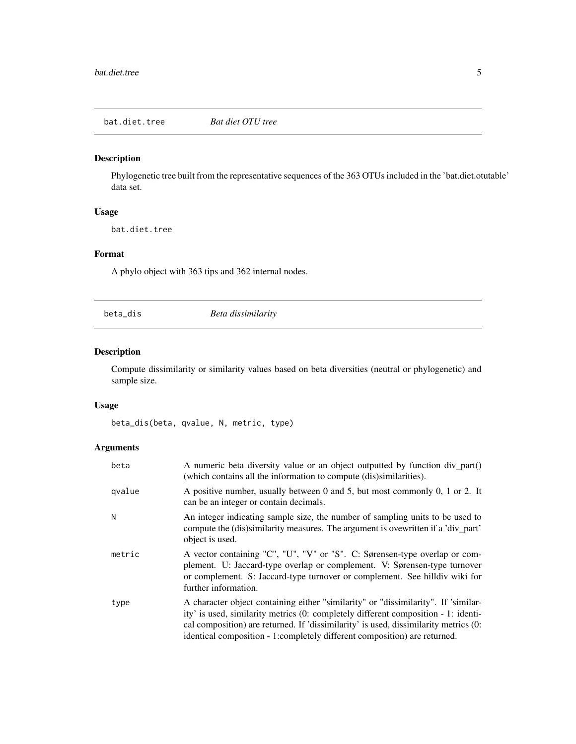<span id="page-4-0"></span>bat.diet.tree *Bat diet OTU tree*

#### Description

Phylogenetic tree built from the representative sequences of the 363 OTUs included in the 'bat.diet.otutable' data set.

# Usage

bat.diet.tree

# Format

A phylo object with 363 tips and 362 internal nodes.

<span id="page-4-1"></span>beta\_dis *Beta dissimilarity*

# Description

Compute dissimilarity or similarity values based on beta diversities (neutral or phylogenetic) and sample size.

#### Usage

beta\_dis(beta, qvalue, N, metric, type)

# Arguments

| beta   | A numeric beta diversity value or an object outputted by function div_part()<br>(which contains all the information to compute (dis)similarities).                                                                                                                                                                                             |
|--------|------------------------------------------------------------------------------------------------------------------------------------------------------------------------------------------------------------------------------------------------------------------------------------------------------------------------------------------------|
| qvalue | A positive number, usually between 0 and 5, but most commonly 0, 1 or 2. It<br>can be an integer or contain decimals.                                                                                                                                                                                                                          |
| Ν      | An integer indicating sample size, the number of sampling units to be used to<br>compute the (dis)similarity measures. The argument is ovewritten if a 'div_part'<br>object is used.                                                                                                                                                           |
| metric | A vector containing "C", "U", "V" or "S". C: Sørensen-type overlap or com-<br>plement. U: Jaccard-type overlap or complement. V: Sørensen-type turnover<br>or complement. S: Jaccard-type turnover or complement. See hilldiv wiki for<br>further information.                                                                                 |
| type   | A character object containing either "similarity" or "dissimilarity". If 'similar-<br>ity' is used, similarity metrics (0: completely different composition - 1: identi-<br>cal composition) are returned. If 'dissimilarity' is used, dissimilarity metrics (0:<br>identical composition - 1: completely different composition) are returned. |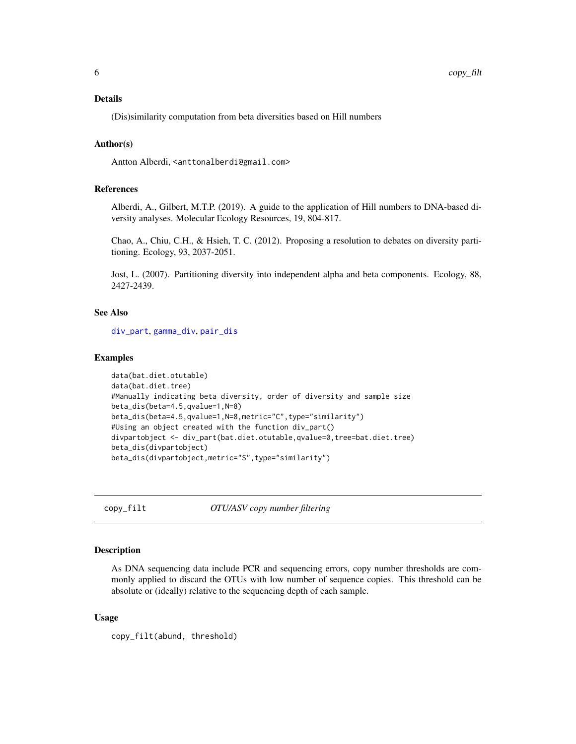# <span id="page-5-0"></span>Details

(Dis)similarity computation from beta diversities based on Hill numbers

# Author(s)

Antton Alberdi, <anttonalberdi@gmail.com>

#### References

Alberdi, A., Gilbert, M.T.P. (2019). A guide to the application of Hill numbers to DNA-based diversity analyses. Molecular Ecology Resources, 19, 804-817.

Chao, A., Chiu, C.H., & Hsieh, T. C. (2012). Proposing a resolution to debates on diversity partitioning. Ecology, 93, 2037-2051.

Jost, L. (2007). Partitioning diversity into independent alpha and beta components. Ecology, 88, 2427-2439.

#### See Also

[div\\_part](#page-10-1), [gamma\\_div](#page-16-1), [pair\\_dis](#page-22-1)

#### Examples

```
data(bat.diet.otutable)
data(bat.diet.tree)
#Manually indicating beta diversity, order of diversity and sample size
beta_dis(beta=4.5,qvalue=1,N=8)
beta_dis(beta=4.5,qvalue=1,N=8,metric="C",type="similarity")
#Using an object created with the function div_part()
divpartobject <- div_part(bat.diet.otutable,qvalue=0,tree=bat.diet.tree)
beta_dis(divpartobject)
beta_dis(divpartobject,metric="S",type="similarity")
```
<span id="page-5-1"></span>

copy\_filt *OTU/ASV copy number filtering*

#### **Description**

As DNA sequencing data include PCR and sequencing errors, copy number thresholds are commonly applied to discard the OTUs with low number of sequence copies. This threshold can be absolute or (ideally) relative to the sequencing depth of each sample.

#### Usage

copy\_filt(abund, threshold)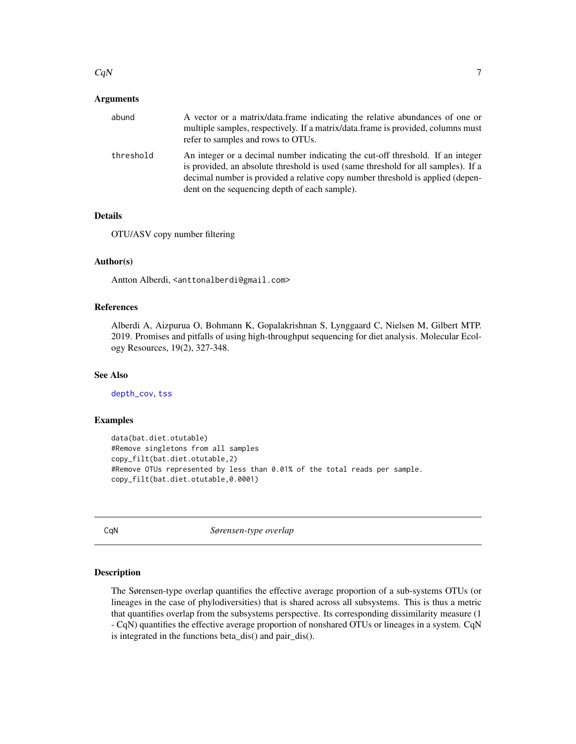#### <span id="page-6-0"></span> $CqN$  7

#### Arguments

| abund     | A vector or a matrix/data.frame indicating the relative abundances of one or<br>multiple samples, respectively. If a matrix/data.frame is provided, columns must<br>refer to samples and rows to OTUs.                                                                                                 |
|-----------|--------------------------------------------------------------------------------------------------------------------------------------------------------------------------------------------------------------------------------------------------------------------------------------------------------|
| threshold | An integer or a decimal number indicating the cut-off threshold. If an integer<br>is provided, an absolute threshold is used (same threshold for all samples). If a<br>decimal number is provided a relative copy number threshold is applied (depen-<br>dent on the sequencing depth of each sample). |

# Details

OTU/ASV copy number filtering

# Author(s)

Antton Alberdi, <anttonalberdi@gmail.com>

#### References

Alberdi A, Aizpurua O, Bohmann K, Gopalakrishnan S, Lynggaard C, Nielsen M, Gilbert MTP. 2019. Promises and pitfalls of using high-throughput sequencing for diet analysis. Molecular Ecology Resources, 19(2), 327-348.

# See Also

[depth\\_cov](#page-8-1), [tss](#page-28-1)

#### Examples

```
data(bat.diet.otutable)
#Remove singletons from all samples
copy_filt(bat.diet.otutable,2)
#Remove OTUs represented by less than 0.01% of the total reads per sample.
copy_filt(bat.diet.otutable,0.0001)
```
CqN *Sørensen-type overlap*

# Description

The Sørensen-type overlap quantifies the effective average proportion of a sub-systems OTUs (or lineages in the case of phylodiversities) that is shared across all subsystems. This is thus a metric that quantifies overlap from the subsystems perspective. Its corresponding dissimilarity measure (1 - CqN) quantifies the effective average proportion of nonshared OTUs or lineages in a system. CqN is integrated in the functions beta\_dis() and pair\_dis().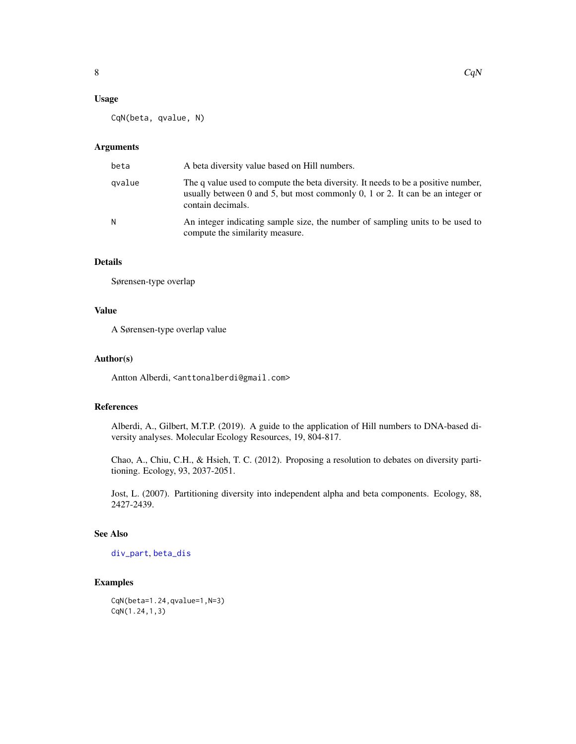#### <span id="page-7-0"></span>Usage

CqN(beta, qvalue, N)

# Arguments

| beta   | A beta diversity value based on Hill numbers.                                                                                                                                           |
|--------|-----------------------------------------------------------------------------------------------------------------------------------------------------------------------------------------|
| qvalue | The q value used to compute the beta diversity. It needs to be a positive number,<br>usually between 0 and 5, but most commonly 0, 1 or 2. It can be an integer or<br>contain decimals. |
| N      | An integer indicating sample size, the number of sampling units to be used to<br>compute the similarity measure.                                                                        |

# Details

Sørensen-type overlap

# Value

A Sørensen-type overlap value

#### Author(s)

Antton Alberdi, <anttonalberdi@gmail.com>

# References

Alberdi, A., Gilbert, M.T.P. (2019). A guide to the application of Hill numbers to DNA-based diversity analyses. Molecular Ecology Resources, 19, 804-817.

Chao, A., Chiu, C.H., & Hsieh, T. C. (2012). Proposing a resolution to debates on diversity partitioning. Ecology, 93, 2037-2051.

Jost, L. (2007). Partitioning diversity into independent alpha and beta components. Ecology, 88, 2427-2439.

# See Also

[div\\_part](#page-10-1), [beta\\_dis](#page-4-1)

# Examples

CqN(beta=1.24,qvalue=1,N=3) CqN(1.24,1,3)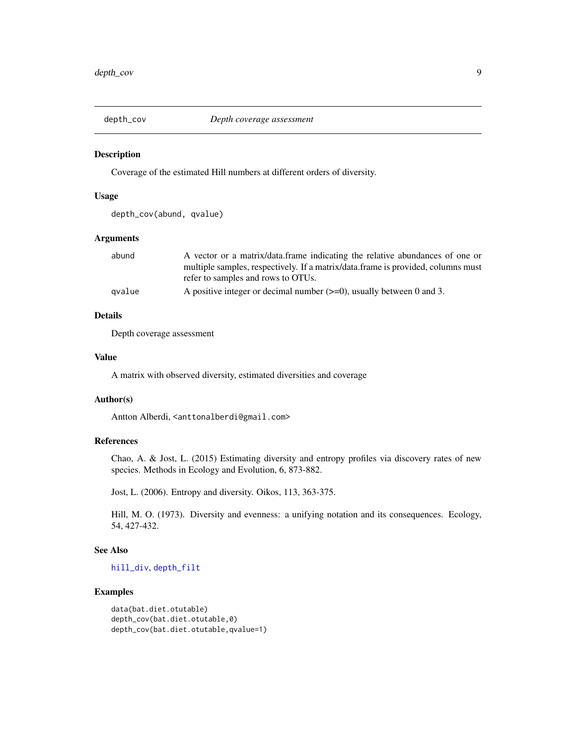<span id="page-8-1"></span><span id="page-8-0"></span>

Coverage of the estimated Hill numbers at different orders of diversity.

#### Usage

```
depth_cov(abund, qvalue)
```
# Arguments

| abund  | A vector or a matrix/data.frame indicating the relative abundances of one or     |
|--------|----------------------------------------------------------------------------------|
|        | multiple samples, respectively. If a matrix/data.frame is provided, columns must |
|        | refer to samples and rows to OTUs.                                               |
| gvalue | A positive integer or decimal number $(\geq=0)$ , usually between 0 and 3.       |

# Details

Depth coverage assessment

# Value

A matrix with observed diversity, estimated diversities and coverage

#### Author(s)

Antton Alberdi, <anttonalberdi@gmail.com>

#### References

Chao, A. & Jost, L. (2015) Estimating diversity and entropy profiles via discovery rates of new species. Methods in Ecology and Evolution, 6, 873-882.

Jost, L. (2006). Entropy and diversity. Oikos, 113, 363-375.

Hill, M. O. (1973). Diversity and evenness: a unifying notation and its consequences. Ecology, 54, 427-432.

#### See Also

[hill\\_div](#page-17-1), [depth\\_filt](#page-9-1)

# Examples

```
data(bat.diet.otutable)
depth_cov(bat.diet.otutable,0)
depth_cov(bat.diet.otutable,qvalue=1)
```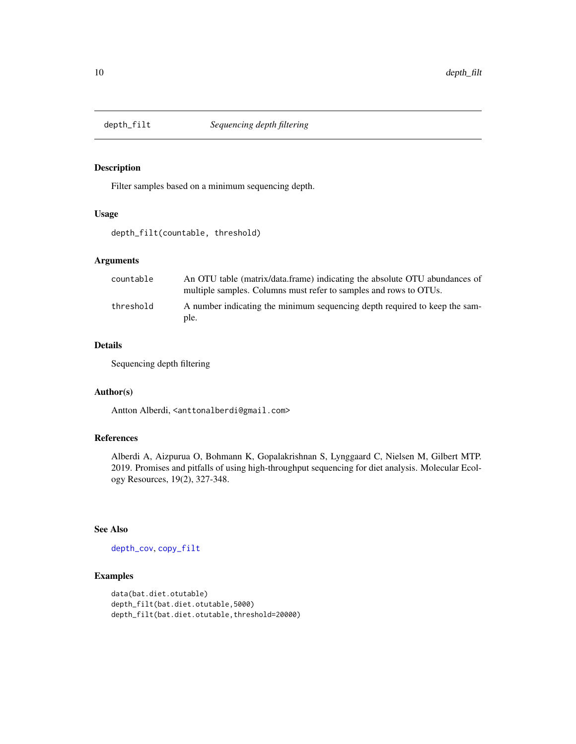<span id="page-9-1"></span><span id="page-9-0"></span>

Filter samples based on a minimum sequencing depth.

#### Usage

depth\_filt(countable, threshold)

#### Arguments

| countable | An OTU table (matrix/data.frame) indicating the absolute OTU abundances of<br>multiple samples. Columns must refer to samples and rows to OTUs. |
|-----------|-------------------------------------------------------------------------------------------------------------------------------------------------|
| threshold | A number indicating the minimum sequencing depth required to keep the sam-<br>ple.                                                              |

# Details

Sequencing depth filtering

#### Author(s)

Antton Alberdi, <anttonalberdi@gmail.com>

# References

Alberdi A, Aizpurua O, Bohmann K, Gopalakrishnan S, Lynggaard C, Nielsen M, Gilbert MTP. 2019. Promises and pitfalls of using high-throughput sequencing for diet analysis. Molecular Ecology Resources, 19(2), 327-348.

# See Also

[depth\\_cov](#page-8-1), [copy\\_filt](#page-5-1)

# Examples

```
data(bat.diet.otutable)
depth_filt(bat.diet.otutable,5000)
depth_filt(bat.diet.otutable,threshold=20000)
```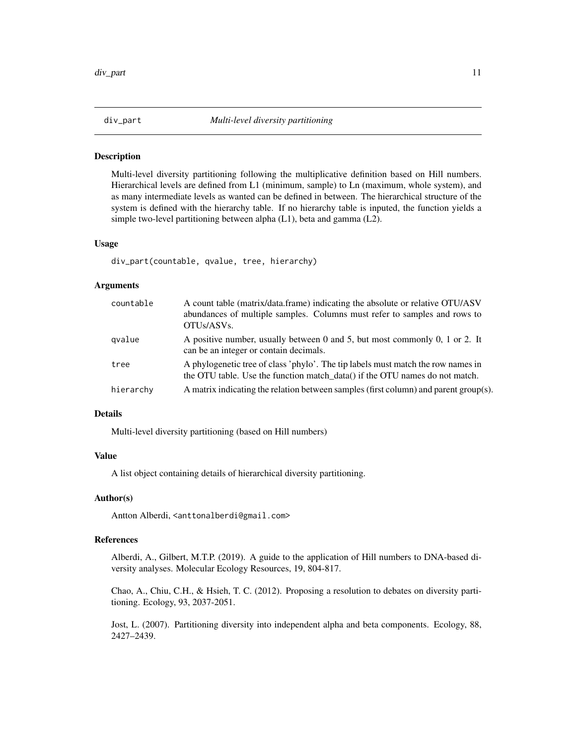<span id="page-10-1"></span><span id="page-10-0"></span>

Multi-level diversity partitioning following the multiplicative definition based on Hill numbers. Hierarchical levels are defined from L1 (minimum, sample) to Ln (maximum, whole system), and as many intermediate levels as wanted can be defined in between. The hierarchical structure of the system is defined with the hierarchy table. If no hierarchy table is inputed, the function yields a simple two-level partitioning between alpha (L1), beta and gamma (L2).

#### Usage

div\_part(countable, qvalue, tree, hierarchy)

#### Arguments

| countable | A count table (matrix/data.frame) indicating the absolute or relative OTU/ASV<br>abundances of multiple samples. Columns must refer to samples and rows to<br>OTU <sub>s</sub> /ASV <sub>s</sub> . |
|-----------|----------------------------------------------------------------------------------------------------------------------------------------------------------------------------------------------------|
| gvalue    | A positive number, usually between 0 and 5, but most commonly 0, 1 or 2. It<br>can be an integer or contain decimals.                                                                              |
| tree      | A phylogenetic tree of class 'phylo'. The tip labels must match the row names in<br>the OTU table. Use the function match_data() if the OTU names do not match.                                    |
| hierarchy | A matrix indicating the relation between samples (first column) and parent group(s).                                                                                                               |

# Details

Multi-level diversity partitioning (based on Hill numbers)

# Value

A list object containing details of hierarchical diversity partitioning.

#### Author(s)

Antton Alberdi, <anttonalberdi@gmail.com>

# References

Alberdi, A., Gilbert, M.T.P. (2019). A guide to the application of Hill numbers to DNA-based diversity analyses. Molecular Ecology Resources, 19, 804-817.

Chao, A., Chiu, C.H., & Hsieh, T. C. (2012). Proposing a resolution to debates on diversity partitioning. Ecology, 93, 2037-2051.

Jost, L. (2007). Partitioning diversity into independent alpha and beta components. Ecology, 88, 2427–2439.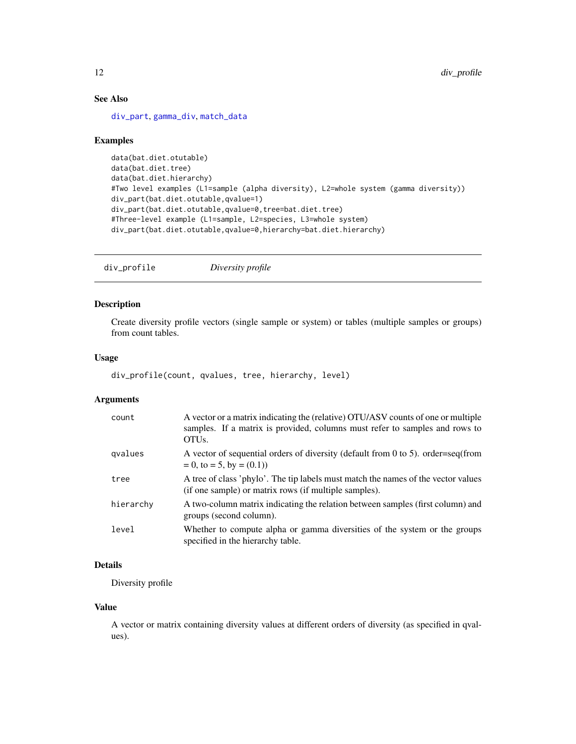# See Also

[div\\_part](#page-10-1), [gamma\\_div](#page-16-1), [match\\_data](#page-21-1)

#### Examples

```
data(bat.diet.otutable)
data(bat.diet.tree)
data(bat.diet.hierarchy)
#Two level examples (L1=sample (alpha diversity), L2=whole system (gamma diversity))
div_part(bat.diet.otutable,qvalue=1)
div_part(bat.diet.otutable,qvalue=0,tree=bat.diet.tree)
#Three-level example (L1=sample, L2=species, L3=whole system)
div_part(bat.diet.otutable,qvalue=0,hierarchy=bat.diet.hierarchy)
```
<span id="page-11-1"></span>div\_profile *Diversity profile*

# Description

Create diversity profile vectors (single sample or system) or tables (multiple samples or groups) from count tables.

# Usage

```
div_profile(count, qvalues, tree, hierarchy, level)
```
# Arguments

| count     | A vector or a matrix indicating the (relative) OTU/ASV counts of one or multiple<br>samples. If a matrix is provided, columns must refer to samples and rows to<br>OTU <sub>s</sub> . |
|-----------|---------------------------------------------------------------------------------------------------------------------------------------------------------------------------------------|
| gvalues   | A vector of sequential orders of diversity (default from 0 to 5). order=seq(from<br>$= 0$ , to $= 5$ , by $= (0.1)$                                                                   |
| tree      | A tree of class 'phylo'. The tip labels must match the names of the vector values<br>(if one sample) or matrix rows (if multiple samples).                                            |
| hierarchy | A two-column matrix indicating the relation between samples (first column) and<br>groups (second column).                                                                             |
| level     | Whether to compute alpha or gamma diversities of the system or the groups<br>specified in the hierarchy table.                                                                        |

# Details

Diversity profile

# Value

A vector or matrix containing diversity values at different orders of diversity (as specified in qvalues).

<span id="page-11-0"></span>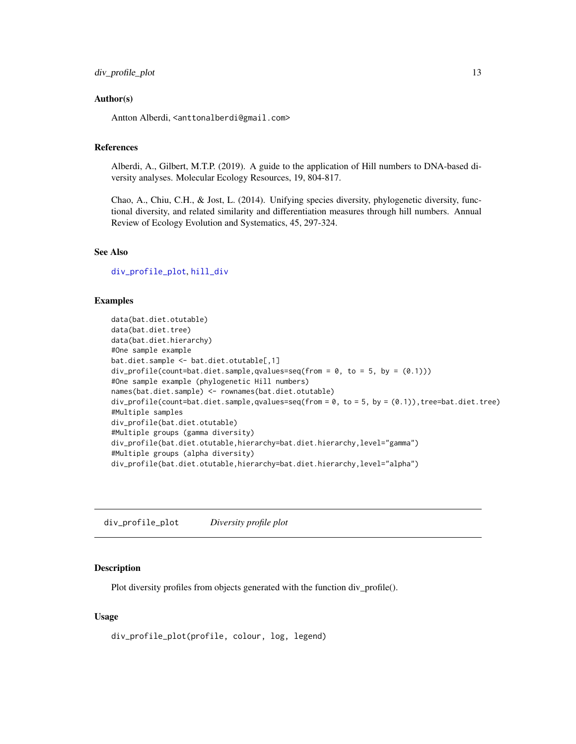#### <span id="page-12-0"></span>Author(s)

Antton Alberdi, <anttonalberdi@gmail.com>

#### References

Alberdi, A., Gilbert, M.T.P. (2019). A guide to the application of Hill numbers to DNA-based diversity analyses. Molecular Ecology Resources, 19, 804-817.

Chao, A., Chiu, C.H., & Jost, L. (2014). Unifying species diversity, phylogenetic diversity, functional diversity, and related similarity and differentiation measures through hill numbers. Annual Review of Ecology Evolution and Systematics, 45, 297-324.

# See Also

[div\\_profile\\_plot](#page-12-1), [hill\\_div](#page-17-1)

#### Examples

```
data(bat.diet.otutable)
data(bat.diet.tree)
data(bat.diet.hierarchy)
#One sample example
bat.diet.sample <- bat.diet.otutable[,1]
div\_profile(count=bat.diet.sample,qvalues=seq(from = 0, to = 5, by = (0.1)))
#One sample example (phylogenetic Hill numbers)
names(bat.diet.sample) <- rownames(bat.diet.otutable)
div_profile(count=bat.diet.sample,qvalues=seq(from = 0, to = 5, by = (0.1)),tree=bat.diet.tree)
#Multiple samples
div_profile(bat.diet.otutable)
#Multiple groups (gamma diversity)
div_profile(bat.diet.otutable,hierarchy=bat.diet.hierarchy,level="gamma")
#Multiple groups (alpha diversity)
div_profile(bat.diet.otutable,hierarchy=bat.diet.hierarchy,level="alpha")
```
<span id="page-12-1"></span>div\_profile\_plot *Diversity profile plot*

#### Description

Plot diversity profiles from objects generated with the function div\_profile().

#### Usage

div\_profile\_plot(profile, colour, log, legend)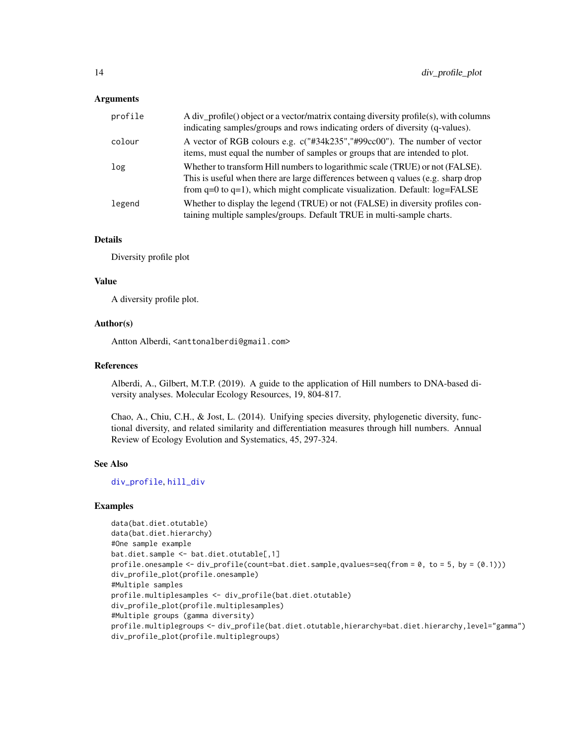#### <span id="page-13-0"></span>Arguments

| profile | A div_profile() object or a vector/matrix containg diversity profile(s), with columns<br>indicating samples/groups and rows indicating orders of diversity (q-values).                                                                                  |
|---------|---------------------------------------------------------------------------------------------------------------------------------------------------------------------------------------------------------------------------------------------------------|
| colour  | A vector of RGB colours e.g. c("#34k235","#99cc00"). The number of vector<br>items, must equal the number of samples or groups that are intended to plot.                                                                                               |
| log     | Whether to transform Hill numbers to logarithmic scale (TRUE) or not (FALSE).<br>This is useful when there are large differences between q values (e.g. sharp drop<br>from $q=0$ to $q=1$ ), which might complicate visualization. Default: $log=FALSE$ |
| legend  | Whether to display the legend (TRUE) or not (FALSE) in diversity profiles con-<br>taining multiple samples/groups. Default TRUE in multi-sample charts.                                                                                                 |

# Details

Diversity profile plot

#### Value

A diversity profile plot.

#### Author(s)

Antton Alberdi, <anttonalberdi@gmail.com>

#### References

Alberdi, A., Gilbert, M.T.P. (2019). A guide to the application of Hill numbers to DNA-based diversity analyses. Molecular Ecology Resources, 19, 804-817.

Chao, A., Chiu, C.H., & Jost, L. (2014). Unifying species diversity, phylogenetic diversity, functional diversity, and related similarity and differentiation measures through hill numbers. Annual Review of Ecology Evolution and Systematics, 45, 297-324.

# See Also

[div\\_profile](#page-11-1), [hill\\_div](#page-17-1)

# Examples

```
data(bat.diet.otutable)
data(bat.diet.hierarchy)
#One sample example
bat.diet.sample <- bat.diet.otutable[,1]
profile.onesample \leq div_profile(count=bat.diet.sample,qvalues=seq(from = 0, to = 5, by = (0.1)))
div_profile_plot(profile.onesample)
#Multiple samples
profile.multiplesamples <- div_profile(bat.diet.otutable)
div_profile_plot(profile.multiplesamples)
#Multiple groups (gamma diversity)
profile.multiplegroups <- div_profile(bat.diet.otutable,hierarchy=bat.diet.hierarchy,level="gamma")
div_profile_plot(profile.multiplegroups)
```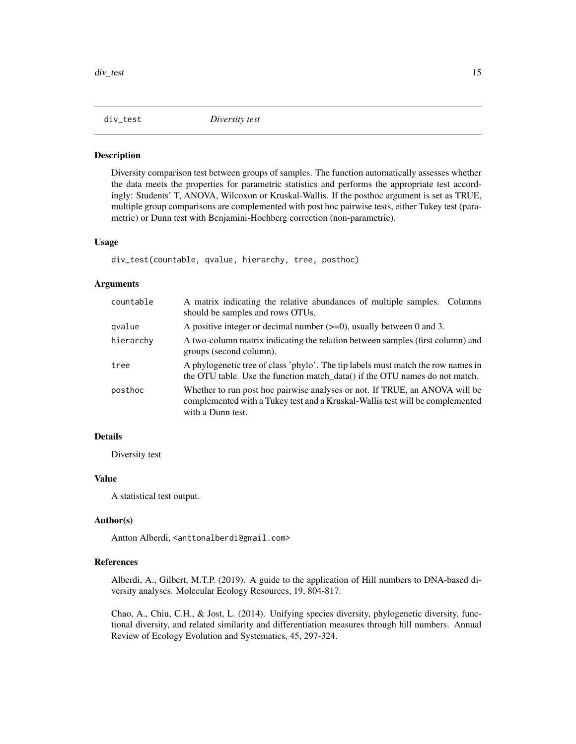<span id="page-14-1"></span><span id="page-14-0"></span>

Diversity comparison test between groups of samples. The function automatically assesses whether the data meets the properties for parametric statistics and performs the appropriate test accordingly: Students' T, ANOVA, Wilcoxon or Kruskal-Wallis. If the posthoc argument is set as TRUE, multiple group comparisons are complemented with post hoc pairwise tests, either Tukey test (parametric) or Dunn test with Benjamini-Hochberg correction (non-parametric).

#### Usage

div\_test(countable, qvalue, hierarchy, tree, posthoc)

#### Arguments

| countable | A matrix indicating the relative abundances of multiple samples. Columns<br>should be samples and rows OTUs.                                                                      |
|-----------|-----------------------------------------------------------------------------------------------------------------------------------------------------------------------------------|
| gvalue    | A positive integer or decimal number $(\geq=0)$ , usually between 0 and 3.                                                                                                        |
| hierarchy | A two-column matrix indicating the relation between samples (first column) and<br>groups (second column).                                                                         |
| tree      | A phylogenetic tree of class 'phylo'. The tip labels must match the row names in<br>the OTU table. Use the function match_data() if the OTU names do not match.                   |
| posthoc   | Whether to run post hoc pairwise analyses or not. If TRUE, an ANOVA will be<br>complemented with a Tukey test and a Kruskal-Wallis test will be complemented<br>with a Dunn test. |

# Details

Diversity test

# Value

A statistical test output.

#### Author(s)

Antton Alberdi, <anttonalberdi@gmail.com>

#### References

Alberdi, A., Gilbert, M.T.P. (2019). A guide to the application of Hill numbers to DNA-based diversity analyses. Molecular Ecology Resources, 19, 804-817.

Chao, A., Chiu, C.H., & Jost, L. (2014). Unifying species diversity, phylogenetic diversity, functional diversity, and related similarity and differentiation measures through hill numbers. Annual Review of Ecology Evolution and Systematics, 45, 297-324.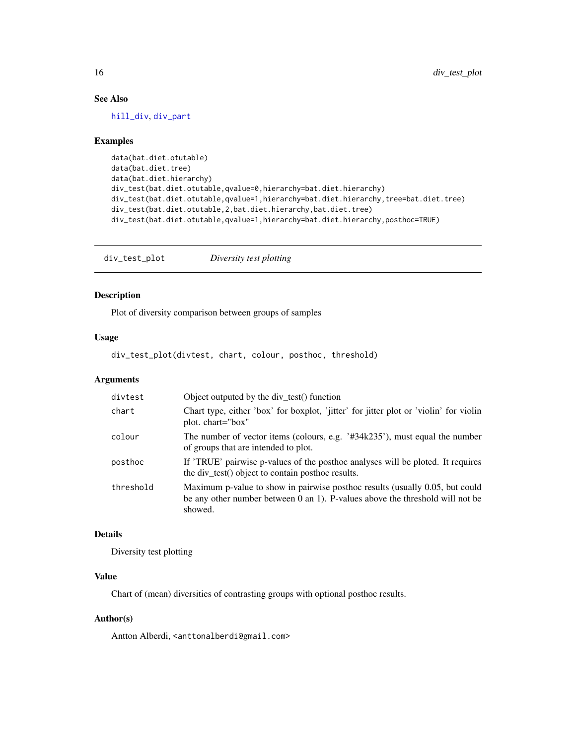# <span id="page-15-0"></span>See Also

[hill\\_div](#page-17-1), [div\\_part](#page-10-1)

#### Examples

```
data(bat.diet.otutable)
data(bat.diet.tree)
data(bat.diet.hierarchy)
div_test(bat.diet.otutable,qvalue=0,hierarchy=bat.diet.hierarchy)
div_test(bat.diet.otutable,qvalue=1,hierarchy=bat.diet.hierarchy,tree=bat.diet.tree)
div_test(bat.diet.otutable,2,bat.diet.hierarchy,bat.diet.tree)
div_test(bat.diet.otutable,qvalue=1,hierarchy=bat.diet.hierarchy,posthoc=TRUE)
```
div\_test\_plot *Diversity test plotting*

# Description

Plot of diversity comparison between groups of samples

#### Usage

div\_test\_plot(divtest, chart, colour, posthoc, threshold)

#### Arguments

| divtest   | Object outputed by the div test() function                                                                                                                               |
|-----------|--------------------------------------------------------------------------------------------------------------------------------------------------------------------------|
| chart     | Chart type, either 'box' for boxplot, 'jitter' for jitter plot or 'violin' for violin<br>plot. chart="box"                                                               |
| colour    | The number of vector items (colours, e.g. '#34k235'), must equal the number<br>of groups that are intended to plot.                                                      |
| posthoc   | If 'TRUE' pairwise p-values of the posthoc analyses will be ploted. It requires<br>the div_test() object to contain posthoc results.                                     |
| threshold | Maximum p-value to show in pairwise posthoc results (usually 0.05, but could<br>be any other number between 0 an 1). P-values above the threshold will not be<br>showed. |

# Details

Diversity test plotting

# Value

Chart of (mean) diversities of contrasting groups with optional posthoc results.

#### Author(s)

Antton Alberdi, <anttonalberdi@gmail.com>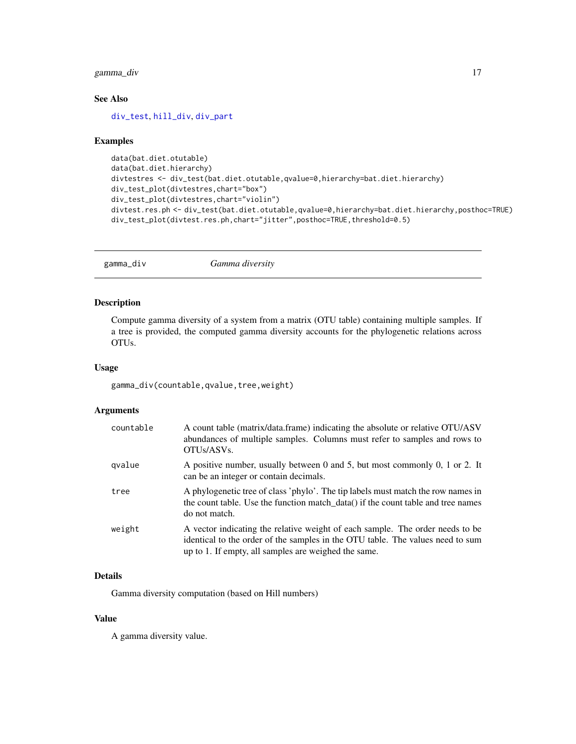# <span id="page-16-0"></span>gamma\_div 17

# See Also

[div\\_test](#page-14-1), [hill\\_div](#page-17-1), [div\\_part](#page-10-1)

#### Examples

```
data(bat.diet.otutable)
data(bat.diet.hierarchy)
divtestres <- div_test(bat.diet.otutable,qvalue=0,hierarchy=bat.diet.hierarchy)
div_test_plot(divtestres,chart="box")
div_test_plot(divtestres,chart="violin")
divtest.res.ph <- div_test(bat.diet.otutable,qvalue=0,hierarchy=bat.diet.hierarchy,posthoc=TRUE)
div_test_plot(divtest.res.ph,chart="jitter",posthoc=TRUE,threshold=0.5)
```
<span id="page-16-1"></span>gamma\_div *Gamma diversity*

#### Description

Compute gamma diversity of a system from a matrix (OTU table) containing multiple samples. If a tree is provided, the computed gamma diversity accounts for the phylogenetic relations across OTUs.

# Usage

gamma\_div(countable,qvalue,tree,weight)

#### Arguments

| countable | A count table (matrix/data.frame) indicating the absolute or relative OTU/ASV<br>abundances of multiple samples. Columns must refer to samples and rows to<br>OTU <sub>s</sub> /ASV <sub>s</sub> .                      |
|-----------|-------------------------------------------------------------------------------------------------------------------------------------------------------------------------------------------------------------------------|
| gvalue    | A positive number, usually between 0 and 5, but most commonly 0, 1 or 2. It<br>can be an integer or contain decimals.                                                                                                   |
| tree      | A phylogenetic tree of class 'phylo'. The tip labels must match the row names in<br>the count table. Use the function match_data() if the count table and tree names<br>do not match.                                   |
| weight    | A vector indicating the relative weight of each sample. The order needs to be<br>identical to the order of the samples in the OTU table. The values need to sum<br>up to 1. If empty, all samples are weighed the same. |

# Details

Gamma diversity computation (based on Hill numbers)

## Value

A gamma diversity value.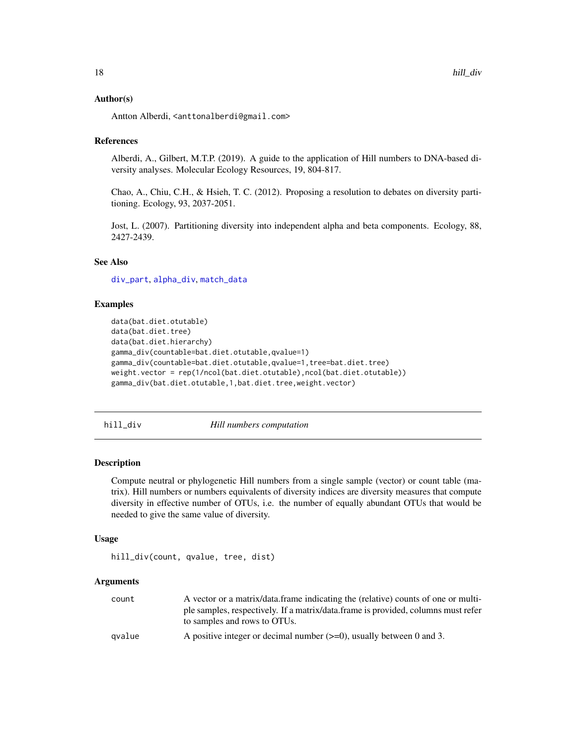#### <span id="page-17-0"></span>Author(s)

Antton Alberdi, <anttonalberdi@gmail.com>

#### References

Alberdi, A., Gilbert, M.T.P. (2019). A guide to the application of Hill numbers to DNA-based diversity analyses. Molecular Ecology Resources, 19, 804-817.

Chao, A., Chiu, C.H., & Hsieh, T. C. (2012). Proposing a resolution to debates on diversity partitioning. Ecology, 93, 2037-2051.

Jost, L. (2007). Partitioning diversity into independent alpha and beta components. Ecology, 88, 2427-2439.

#### See Also

[div\\_part](#page-10-1), [alpha\\_div](#page-2-1), [match\\_data](#page-21-1)

# Examples

```
data(bat.diet.otutable)
data(bat.diet.tree)
data(bat.diet.hierarchy)
gamma_div(countable=bat.diet.otutable,qvalue=1)
gamma_div(countable=bat.diet.otutable,qvalue=1,tree=bat.diet.tree)
weight.vector = rep(1/ncol(bat.diet.otutable),ncol(bat.diet.otutable))
gamma_div(bat.diet.otutable,1,bat.diet.tree,weight.vector)
```
<span id="page-17-1"></span>hill\_div *Hill numbers computation*

#### Description

Compute neutral or phylogenetic Hill numbers from a single sample (vector) or count table (matrix). Hill numbers or numbers equivalents of diversity indices are diversity measures that compute diversity in effective number of OTUs, i.e. the number of equally abundant OTUs that would be needed to give the same value of diversity.

#### Usage

```
hill_div(count, qvalue, tree, dist)
```
#### Arguments

| count  | A vector or a matrix/data.frame indicating the (relative) counts of one or multi- |
|--------|-----------------------------------------------------------------------------------|
|        | ple samples, respectively. If a matrix/data.frame is provided, columns must refer |
|        | to samples and rows to OTUs.                                                      |
| avalue | A positive integer or decimal number $(\geq=0)$ , usually between 0 and 3.        |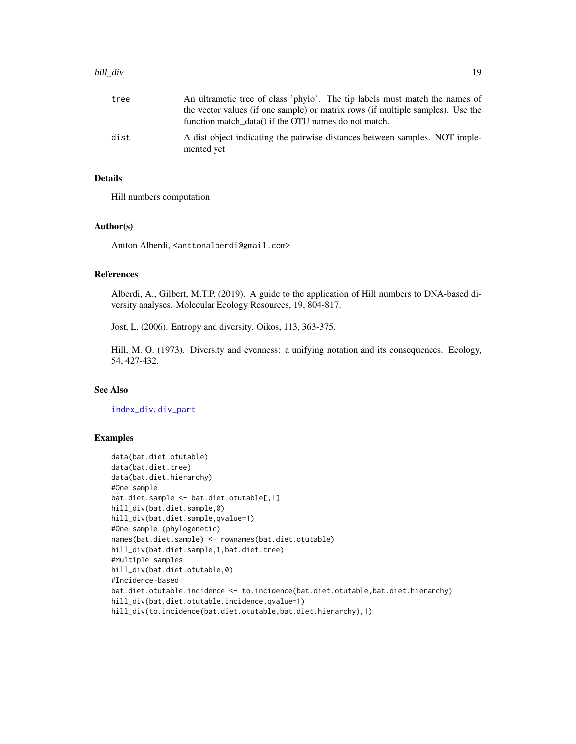#### <span id="page-18-0"></span>hill\_div and the set of the set of the set of the set of the set of the set of the set of the set of the set of the set of the set of the set of the set of the set of the set of the set of the set of the set of the set of

| tree | An ultrametic tree of class 'phylo'. The tip labels must match the names of               |
|------|-------------------------------------------------------------------------------------------|
|      | the vector values (if one sample) or matrix rows (if multiple samples). Use the           |
|      | function match data() if the OTU names do not match.                                      |
| dist | A dist object indicating the pairwise distances between samples. NOT imple-<br>mented yet |

# Details

Hill numbers computation

# Author(s)

Antton Alberdi, <anttonalberdi@gmail.com>

# References

Alberdi, A., Gilbert, M.T.P. (2019). A guide to the application of Hill numbers to DNA-based diversity analyses. Molecular Ecology Resources, 19, 804-817.

Jost, L. (2006). Entropy and diversity. Oikos, 113, 363-375.

Hill, M. O. (1973). Diversity and evenness: a unifying notation and its consequences. Ecology, 54, 427-432.

# See Also

[index\\_div](#page-19-1), [div\\_part](#page-10-1)

# Examples

```
data(bat.diet.otutable)
data(bat.diet.tree)
data(bat.diet.hierarchy)
#One sample
bat.diet.sample <- bat.diet.otutable[,1]
hill_div(bat.diet.sample,0)
hill_div(bat.diet.sample,qvalue=1)
#One sample (phylogenetic)
names(bat.diet.sample) <- rownames(bat.diet.otutable)
hill_div(bat.diet.sample,1,bat.diet.tree)
#Multiple samples
hill_div(bat.diet.otutable,0)
#Incidence-based
bat.diet.otutable.incidence <- to.incidence(bat.diet.otutable,bat.diet.hierarchy)
hill_div(bat.diet.otutable.incidence,qvalue=1)
hill_div(to.incidence(bat.diet.otutable,bat.diet.hierarchy),1)
```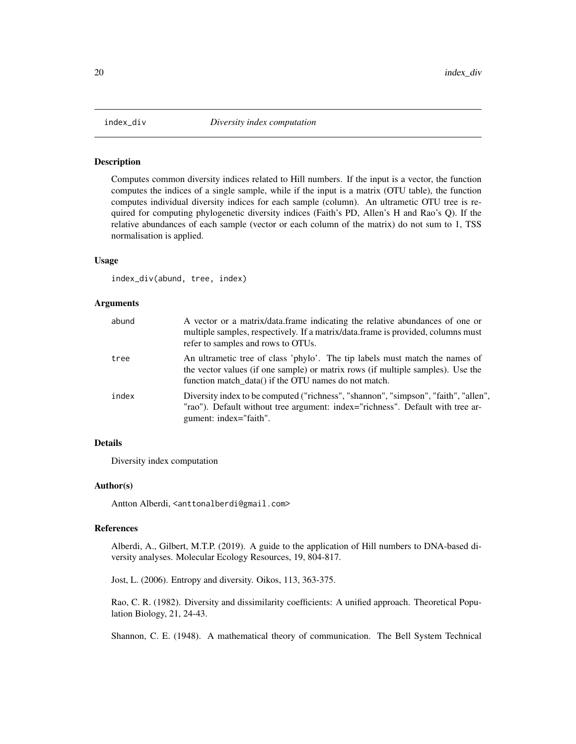<span id="page-19-1"></span><span id="page-19-0"></span>

Computes common diversity indices related to Hill numbers. If the input is a vector, the function computes the indices of a single sample, while if the input is a matrix (OTU table), the function computes individual diversity indices for each sample (column). An ultrametic OTU tree is required for computing phylogenetic diversity indices (Faith's PD, Allen's H and Rao's Q). If the relative abundances of each sample (vector or each column of the matrix) do not sum to 1, TSS normalisation is applied.

#### Usage

index\_div(abund, tree, index)

#### Arguments

| abund | A vector or a matrix/data.frame indicating the relative abundances of one or<br>multiple samples, respectively. If a matrix/data.frame is provided, columns must<br>refer to samples and rows to OTUs.                 |
|-------|------------------------------------------------------------------------------------------------------------------------------------------------------------------------------------------------------------------------|
| tree  | An ultrametic tree of class 'phylo'. The tip labels must match the names of<br>the vector values (if one sample) or matrix rows (if multiple samples). Use the<br>function match data() if the OTU names do not match. |
| index | Diversity index to be computed ("richness", "shannon", "simpson", "faith", "allen",<br>"rao"). Default without tree argument: index="richness". Default with tree ar-<br>gument: index="faith".                        |

# Details

Diversity index computation

#### Author(s)

Antton Alberdi, <anttonalberdi@gmail.com>

#### References

Alberdi, A., Gilbert, M.T.P. (2019). A guide to the application of Hill numbers to DNA-based diversity analyses. Molecular Ecology Resources, 19, 804-817.

Jost, L. (2006). Entropy and diversity. Oikos, 113, 363-375.

Rao, C. R. (1982). Diversity and dissimilarity coefficients: A unified approach. Theoretical Population Biology, 21, 24-43.

Shannon, C. E. (1948). A mathematical theory of communication. The Bell System Technical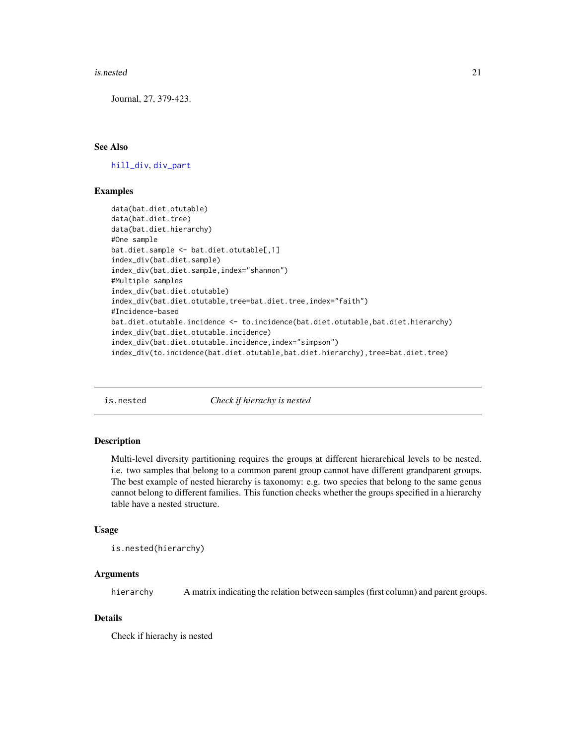#### <span id="page-20-0"></span>is.nested 21

Journal, 27, 379-423.

# See Also

[hill\\_div](#page-17-1), [div\\_part](#page-10-1)

# Examples

```
data(bat.diet.otutable)
data(bat.diet.tree)
data(bat.diet.hierarchy)
#One sample
bat.diet.sample <- bat.diet.otutable[,1]
index_div(bat.diet.sample)
index_div(bat.diet.sample,index="shannon")
#Multiple samples
index_div(bat.diet.otutable)
index_div(bat.diet.otutable,tree=bat.diet.tree,index="faith")
#Incidence-based
bat.diet.otutable.incidence <- to.incidence(bat.diet.otutable,bat.diet.hierarchy)
index_div(bat.diet.otutable.incidence)
index_div(bat.diet.otutable.incidence,index="simpson")
index_div(to.incidence(bat.diet.otutable,bat.diet.hierarchy),tree=bat.diet.tree)
```
is.nested *Check if hierachy is nested*

#### Description

Multi-level diversity partitioning requires the groups at different hierarchical levels to be nested. i.e. two samples that belong to a common parent group cannot have different grandparent groups. The best example of nested hierarchy is taxonomy: e.g. two species that belong to the same genus cannot belong to different families. This function checks whether the groups specified in a hierarchy table have a nested structure.

#### Usage

```
is.nested(hierarchy)
```
# Arguments

hierarchy A matrix indicating the relation between samples (first column) and parent groups.

# Details

Check if hierachy is nested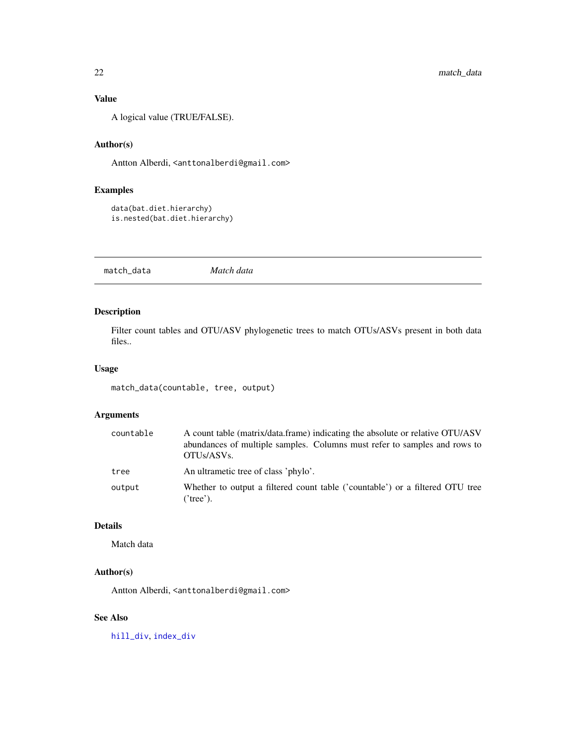# <span id="page-21-0"></span>Value

A logical value (TRUE/FALSE).

# Author(s)

Antton Alberdi, <anttonalberdi@gmail.com>

# Examples

```
data(bat.diet.hierarchy)
is.nested(bat.diet.hierarchy)
```
<span id="page-21-1"></span>match\_data *Match data*

# Description

Filter count tables and OTU/ASV phylogenetic trees to match OTUs/ASVs present in both data files..

#### Usage

match\_data(countable, tree, output)

# Arguments

| countable | A count table (matrix/data.frame) indicating the absolute or relative OTU/ASV<br>abundances of multiple samples. Columns must refer to samples and rows to<br>OTUs/ASVs. |
|-----------|--------------------------------------------------------------------------------------------------------------------------------------------------------------------------|
| tree      | An ultrametic tree of class 'phylo'.                                                                                                                                     |
| output    | Whether to output a filtered count table ('countable') or a filtered OTU tree<br>('tree').                                                                               |

#### Details

Match data

# Author(s)

Antton Alberdi, <anttonalberdi@gmail.com>

# See Also

[hill\\_div](#page-17-1), [index\\_div](#page-19-1)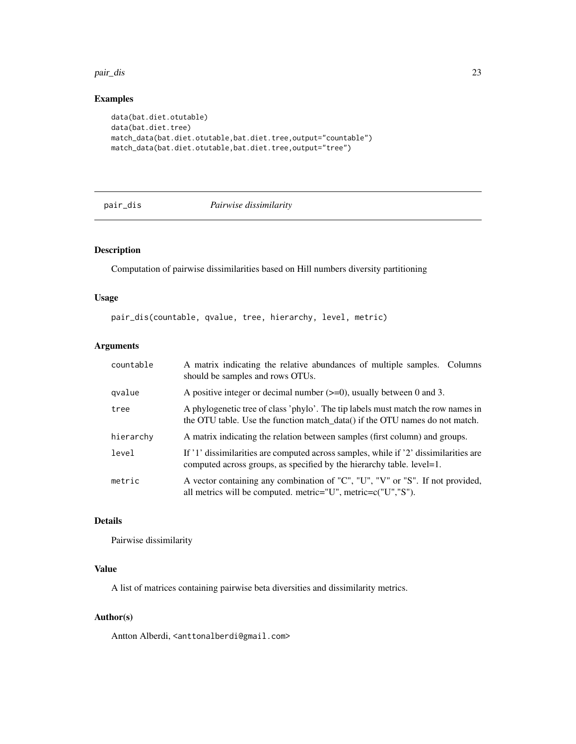#### <span id="page-22-0"></span>pair\_dis 23

# Examples

```
data(bat.diet.otutable)
data(bat.diet.tree)
match_data(bat.diet.otutable,bat.diet.tree,output="countable")
match_data(bat.diet.otutable,bat.diet.tree,output="tree")
```
<span id="page-22-1"></span>

#### pair\_dis *Pairwise dissimilarity*

# Description

Computation of pairwise dissimilarities based on Hill numbers diversity partitioning

#### Usage

pair\_dis(countable, qvalue, tree, hierarchy, level, metric)

# Arguments

| countable | A matrix indicating the relative abundances of multiple samples. Columns<br>should be samples and rows OTUs.                                                    |
|-----------|-----------------------------------------------------------------------------------------------------------------------------------------------------------------|
| gvalue    | A positive integer or decimal number $(\geq=0)$ , usually between 0 and 3.                                                                                      |
| tree      | A phylogenetic tree of class 'phylo'. The tip labels must match the row names in<br>the OTU table. Use the function match_data() if the OTU names do not match. |
| hierarchy | A matrix indicating the relation between samples (first column) and groups.                                                                                     |
| level     | If '1' dissimilarities are computed across samples, while if '2' dissimilarities are<br>computed across groups, as specified by the hierarchy table. level=1.   |
| metric    | A vector containing any combination of "C", "U", "V" or "S". If not provided,<br>all metrics will be computed. metric="U", metric= $c("U", "S")$ .              |

# Details

Pairwise dissimilarity

# Value

A list of matrices containing pairwise beta diversities and dissimilarity metrics.

# Author(s)

Antton Alberdi, <anttonalberdi@gmail.com>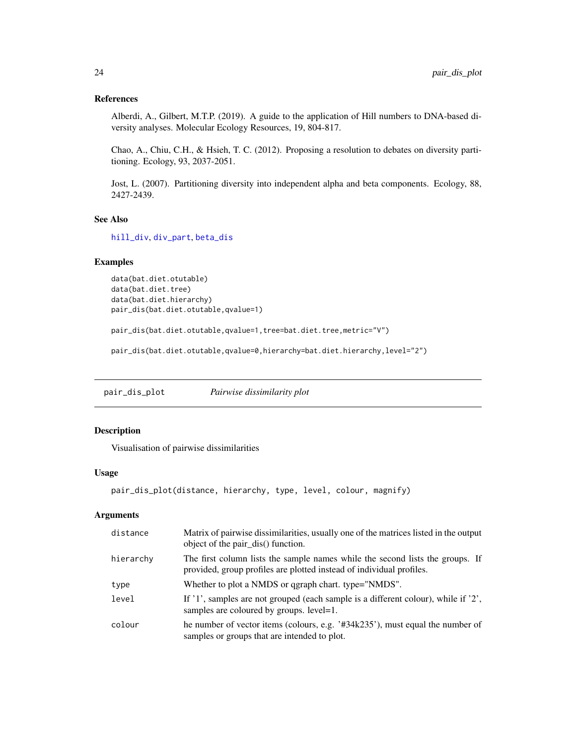#### <span id="page-23-0"></span>References

Alberdi, A., Gilbert, M.T.P. (2019). A guide to the application of Hill numbers to DNA-based diversity analyses. Molecular Ecology Resources, 19, 804-817.

Chao, A., Chiu, C.H., & Hsieh, T. C. (2012). Proposing a resolution to debates on diversity partitioning. Ecology, 93, 2037-2051.

Jost, L. (2007). Partitioning diversity into independent alpha and beta components. Ecology, 88, 2427-2439.

#### See Also

[hill\\_div](#page-17-1), [div\\_part](#page-10-1), [beta\\_dis](#page-4-1)

#### Examples

```
data(bat.diet.otutable)
data(bat.diet.tree)
data(bat.diet.hierarchy)
pair_dis(bat.diet.otutable,qvalue=1)
```
pair\_dis(bat.diet.otutable,qvalue=1,tree=bat.diet.tree,metric="V")

pair\_dis(bat.diet.otutable,qvalue=0,hierarchy=bat.diet.hierarchy,level="2")

pair\_dis\_plot *Pairwise dissimilarity plot*

# Description

Visualisation of pairwise dissimilarities

#### Usage

```
pair_dis_plot(distance, hierarchy, type, level, colour, magnify)
```
#### Arguments

| distance  | Matrix of pairwise dissimilarities, usually one of the matrices listed in the output<br>object of the pair_dis() function.                            |
|-----------|-------------------------------------------------------------------------------------------------------------------------------------------------------|
| hierarchy | The first column lists the sample names while the second lists the groups. If<br>provided, group profiles are plotted instead of individual profiles. |
| type      | Whether to plot a NMDS or qgraph chart. type="NMDS".                                                                                                  |
| level     | If '1', samples are not grouped (each sample is a different colour), while if '2',<br>samples are coloured by groups. level=1.                        |
| colour    | he number of vector items (colours, e.g. $434k235$ ), must equal the number of<br>samples or groups that are intended to plot.                        |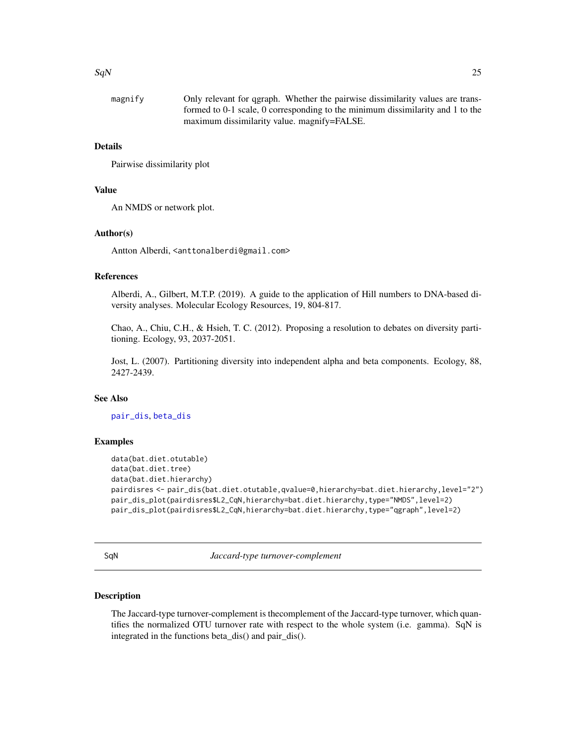#### <span id="page-24-0"></span> $SqN$  25

| magnify | Only relevant for qgraph. Whether the pairwise dissimilarity values are trans- |
|---------|--------------------------------------------------------------------------------|
|         | formed to 0-1 scale, 0 corresponding to the minimum dissimilarity and 1 to the |
|         | maximum dissimilarity value. magnify=FALSE.                                    |

# Details

Pairwise dissimilarity plot

# Value

An NMDS or network plot.

#### Author(s)

Antton Alberdi, <anttonalberdi@gmail.com>

#### References

Alberdi, A., Gilbert, M.T.P. (2019). A guide to the application of Hill numbers to DNA-based diversity analyses. Molecular Ecology Resources, 19, 804-817.

Chao, A., Chiu, C.H., & Hsieh, T. C. (2012). Proposing a resolution to debates on diversity partitioning. Ecology, 93, 2037-2051.

Jost, L. (2007). Partitioning diversity into independent alpha and beta components. Ecology, 88, 2427-2439.

# See Also

[pair\\_dis](#page-22-1), [beta\\_dis](#page-4-1)

#### Examples

```
data(bat.diet.otutable)
data(bat.diet.tree)
data(bat.diet.hierarchy)
pairdisres <- pair_dis(bat.diet.otutable,qvalue=0,hierarchy=bat.diet.hierarchy,level="2")
pair_dis_plot(pairdisres$L2_CqN,hierarchy=bat.diet.hierarchy,type="NMDS",level=2)
pair_dis_plot(pairdisres$L2_CqN,hierarchy=bat.diet.hierarchy,type="qgraph",level=2)
```
SqN *Jaccard-type turnover-complement*

# Description

The Jaccard-type turnover-complement is thecomplement of the Jaccard-type turnover, which quantifies the normalized OTU turnover rate with respect to the whole system (i.e. gamma). SqN is integrated in the functions beta\_dis() and pair\_dis().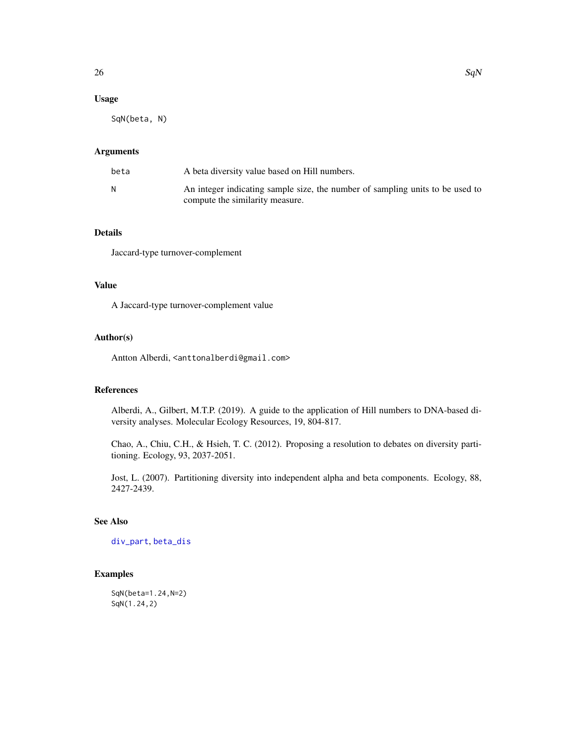# <span id="page-25-0"></span>Usage

SqN(beta, N)

# Arguments

| beta | A beta diversity value based on Hill numbers.                                                                    |
|------|------------------------------------------------------------------------------------------------------------------|
|      | An integer indicating sample size, the number of sampling units to be used to<br>compute the similarity measure. |

# Details

Jaccard-type turnover-complement

# Value

A Jaccard-type turnover-complement value

# Author(s)

Antton Alberdi, <anttonalberdi@gmail.com>

#### References

Alberdi, A., Gilbert, M.T.P. (2019). A guide to the application of Hill numbers to DNA-based diversity analyses. Molecular Ecology Resources, 19, 804-817.

Chao, A., Chiu, C.H., & Hsieh, T. C. (2012). Proposing a resolution to debates on diversity partitioning. Ecology, 93, 2037-2051.

Jost, L. (2007). Partitioning diversity into independent alpha and beta components. Ecology, 88, 2427-2439.

# See Also

[div\\_part](#page-10-1), [beta\\_dis](#page-4-1)

# Examples

SqN(beta=1.24,N=2) SqN(1.24,2)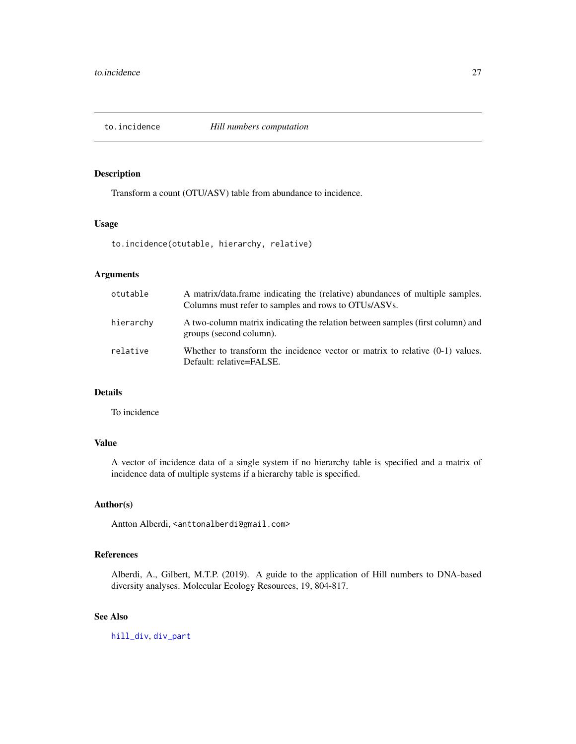<span id="page-26-0"></span>

Transform a count (OTU/ASV) table from abundance to incidence.

# Usage

to.incidence(otutable, hierarchy, relative)

# Arguments

| otutable  | A matrix/data.frame indicating the (relative) abundances of multiple samples.<br>Columns must refer to samples and rows to OTUs/ASVs. |
|-----------|---------------------------------------------------------------------------------------------------------------------------------------|
| hierarchy | A two-column matrix indicating the relation between samples (first column) and<br>groups (second column).                             |
| relative  | Whether to transform the incidence vector or matrix to relative $(0-1)$ values.<br>Default: relative=FALSE.                           |

# Details

To incidence

# Value

A vector of incidence data of a single system if no hierarchy table is specified and a matrix of incidence data of multiple systems if a hierarchy table is specified.

# Author(s)

Antton Alberdi, <anttonalberdi@gmail.com>

# References

Alberdi, A., Gilbert, M.T.P. (2019). A guide to the application of Hill numbers to DNA-based diversity analyses. Molecular Ecology Resources, 19, 804-817.

# See Also

[hill\\_div](#page-17-1), [div\\_part](#page-10-1)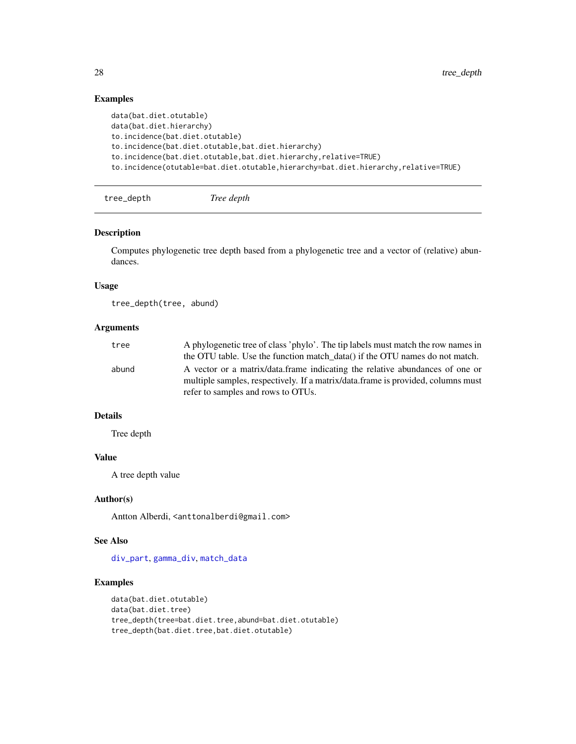# Examples

```
data(bat.diet.otutable)
data(bat.diet.hierarchy)
to.incidence(bat.diet.otutable)
to.incidence(bat.diet.otutable,bat.diet.hierarchy)
to.incidence(bat.diet.otutable,bat.diet.hierarchy,relative=TRUE)
to.incidence(otutable=bat.diet.otutable,hierarchy=bat.diet.hierarchy,relative=TRUE)
```

```
tree_depth Tree depth
```
#### Description

Computes phylogenetic tree depth based from a phylogenetic tree and a vector of (relative) abundances.

#### Usage

tree\_depth(tree, abund)

# Arguments

| tree  | A phylogenetic tree of class 'phylo'. The tip labels must match the row names in |
|-------|----------------------------------------------------------------------------------|
|       | the OTU table. Use the function match data() if the OTU names do not match.      |
| abund | A vector or a matrix/data.frame indicating the relative abundances of one or     |
|       | multiple samples, respectively. If a matrix/data.frame is provided, columns must |
|       | refer to samples and rows to OTUs.                                               |

# Details

Tree depth

# Value

A tree depth value

#### Author(s)

Antton Alberdi, <anttonalberdi@gmail.com>

# See Also

[div\\_part](#page-10-1), [gamma\\_div](#page-16-1), [match\\_data](#page-21-1)

#### Examples

```
data(bat.diet.otutable)
data(bat.diet.tree)
tree_depth(tree=bat.diet.tree,abund=bat.diet.otutable)
tree_depth(bat.diet.tree,bat.diet.otutable)
```
<span id="page-27-0"></span>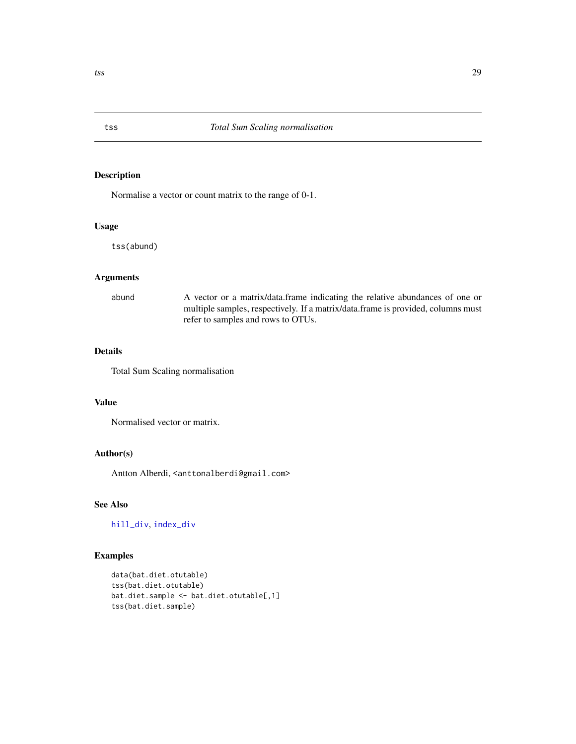Normalise a vector or count matrix to the range of 0-1.

# Usage

tss(abund)

# Arguments

| abund | A vector or a matrix/data.frame indicating the relative abundances of one or     |
|-------|----------------------------------------------------------------------------------|
|       | multiple samples, respectively. If a matrix/data.frame is provided, columns must |
|       | refer to samples and rows to OTUs.                                               |

# Details

Total Sum Scaling normalisation

# Value

Normalised vector or matrix.

# Author(s)

Antton Alberdi, <anttonalberdi@gmail.com>

# See Also

[hill\\_div](#page-17-1), [index\\_div](#page-19-1)

# Examples

```
data(bat.diet.otutable)
tss(bat.diet.otutable)
bat.diet.sample <- bat.diet.otutable[,1]
tss(bat.diet.sample)
```
<span id="page-28-1"></span><span id="page-28-0"></span>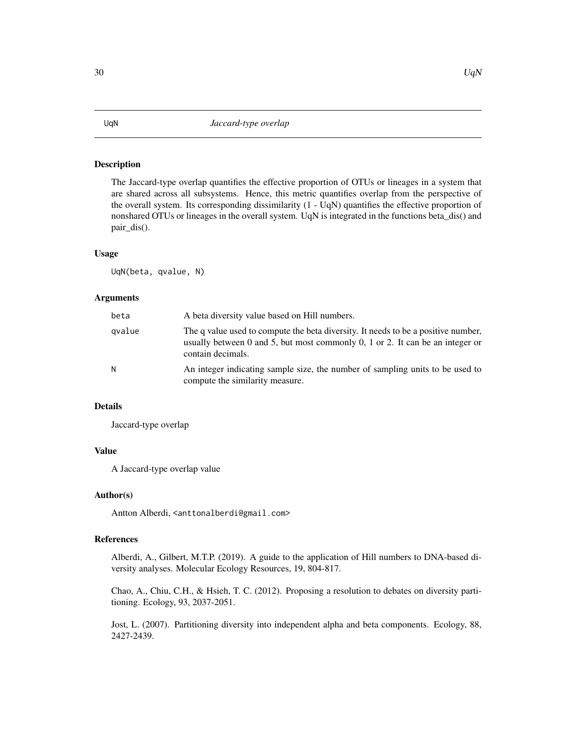<span id="page-29-0"></span>The Jaccard-type overlap quantifies the effective proportion of OTUs or lineages in a system that are shared across all subsystems. Hence, this metric quantifies overlap from the perspective of the overall system. Its corresponding dissimilarity (1 - UqN) quantifies the effective proportion of nonshared OTUs or lineages in the overall system. UqN is integrated in the functions beta\_dis() and pair\_dis().

#### Usage

UqN(beta, qvalue, N)

#### Arguments

| beta   | A beta diversity value based on Hill numbers.                                                                                                                                           |
|--------|-----------------------------------------------------------------------------------------------------------------------------------------------------------------------------------------|
| gvalue | The q value used to compute the beta diversity. It needs to be a positive number,<br>usually between 0 and 5, but most commonly 0, 1 or 2. It can be an integer or<br>contain decimals. |
| N      | An integer indicating sample size, the number of sampling units to be used to<br>compute the similarity measure.                                                                        |

# Details

Jaccard-type overlap

#### Value

A Jaccard-type overlap value

#### Author(s)

Antton Alberdi, <anttonalberdi@gmail.com>

# References

Alberdi, A., Gilbert, M.T.P. (2019). A guide to the application of Hill numbers to DNA-based diversity analyses. Molecular Ecology Resources, 19, 804-817.

Chao, A., Chiu, C.H., & Hsieh, T. C. (2012). Proposing a resolution to debates on diversity partitioning. Ecology, 93, 2037-2051.

Jost, L. (2007). Partitioning diversity into independent alpha and beta components. Ecology, 88, 2427-2439.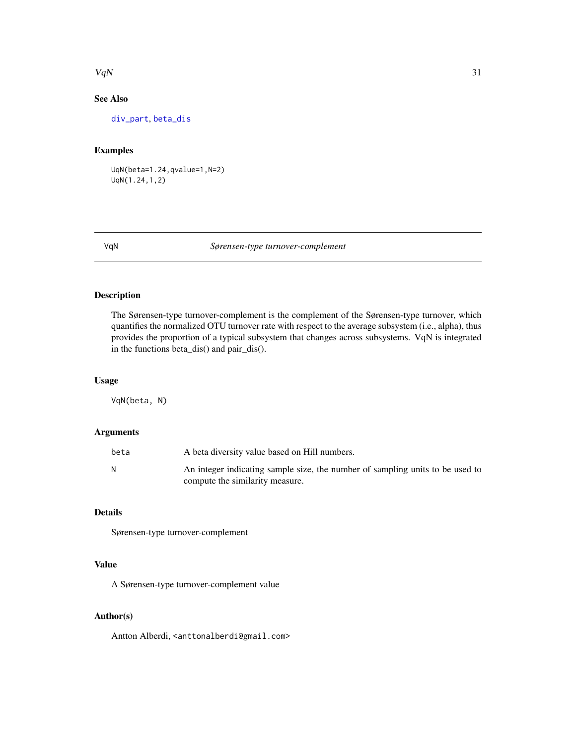#### <span id="page-30-0"></span> $VqN$  31

# See Also

[div\\_part](#page-10-1), [beta\\_dis](#page-4-1)

# Examples

UqN(beta=1.24,qvalue=1,N=2) UqN(1.24,1,2)

#### VqN *Sørensen-type turnover-complement*

# Description

The Sørensen-type turnover-complement is the complement of the Sørensen-type turnover, which quantifies the normalized OTU turnover rate with respect to the average subsystem (i.e., alpha), thus provides the proportion of a typical subsystem that changes across subsystems. VqN is integrated in the functions beta\_dis() and pair\_dis().

# Usage

VqN(beta, N)

# Arguments

| beta | A beta diversity value based on Hill numbers.                                                                    |
|------|------------------------------------------------------------------------------------------------------------------|
|      | An integer indicating sample size, the number of sampling units to be used to<br>compute the similarity measure. |

# Details

Sørensen-type turnover-complement

# Value

A Sørensen-type turnover-complement value

# Author(s)

Antton Alberdi, <anttonalberdi@gmail.com>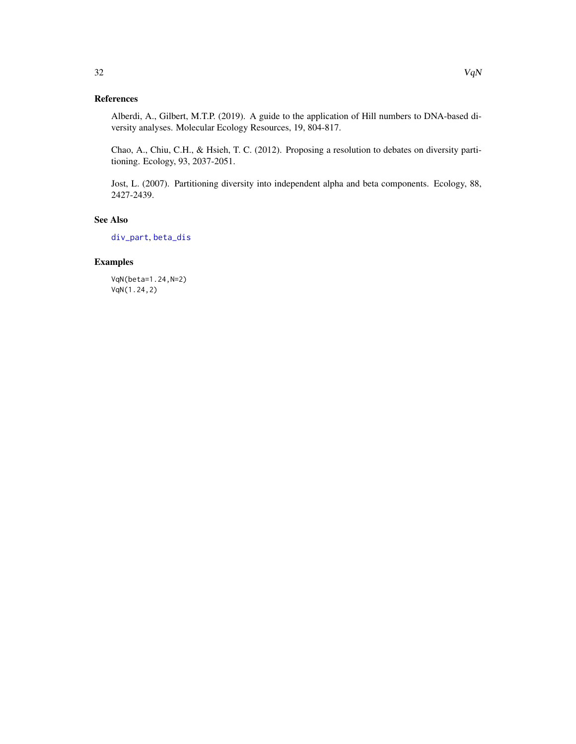# <span id="page-31-0"></span>References

Alberdi, A., Gilbert, M.T.P. (2019). A guide to the application of Hill numbers to DNA-based diversity analyses. Molecular Ecology Resources, 19, 804-817.

Chao, A., Chiu, C.H., & Hsieh, T. C. (2012). Proposing a resolution to debates on diversity partitioning. Ecology, 93, 2037-2051.

Jost, L. (2007). Partitioning diversity into independent alpha and beta components. Ecology, 88, 2427-2439.

# See Also

[div\\_part](#page-10-1), [beta\\_dis](#page-4-1)

# Examples

VqN(beta=1.24,N=2) VqN(1.24,2)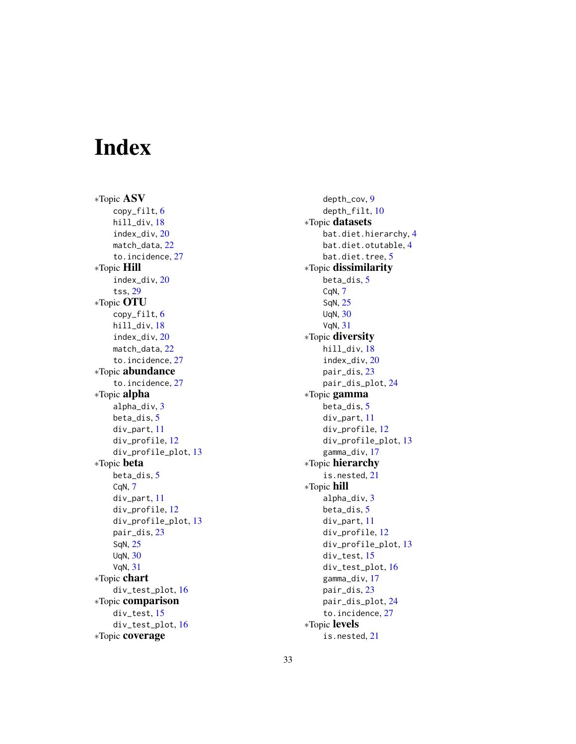# <span id="page-32-0"></span>Index

∗Topic ASV copy\_filt, [6](#page-5-0) hill\_div, [18](#page-17-0) index\_div, [20](#page-19-0) match\_data, [22](#page-21-0) to.incidence, [27](#page-26-0) ∗Topic Hill index\_div, [20](#page-19-0) tss, [29](#page-28-0) ∗Topic OTU copy\_filt, [6](#page-5-0) hill\_div, [18](#page-17-0) index\_div, [20](#page-19-0) match\_data, [22](#page-21-0) to.incidence, [27](#page-26-0) ∗Topic abundance to.incidence, [27](#page-26-0) ∗Topic alpha alpha\_div, [3](#page-2-0) beta\_dis, [5](#page-4-0) div\_part, [11](#page-10-0) div\_profile, [12](#page-11-0) div\_profile\_plot, [13](#page-12-0) ∗Topic beta beta\_dis, [5](#page-4-0) CqN, [7](#page-6-0) div\_part, [11](#page-10-0) div\_profile, [12](#page-11-0) div\_profile\_plot, [13](#page-12-0) pair\_dis, [23](#page-22-0) SqN, [25](#page-24-0) UqN, [30](#page-29-0) VqN, [31](#page-30-0) ∗Topic chart div\_test\_plot, [16](#page-15-0) ∗Topic comparison div\_test, [15](#page-14-0) div\_test\_plot, [16](#page-15-0) ∗Topic coverage

depth\_cov, [9](#page-8-0) depth\_filt, [10](#page-9-0) ∗Topic datasets bat.diet.hierarchy, [4](#page-3-0) bat.diet.otutable, [4](#page-3-0) bat.diet.tree, [5](#page-4-0) ∗Topic dissimilarity beta\_dis, [5](#page-4-0) CqN, [7](#page-6-0) SqN, [25](#page-24-0) UqN, [30](#page-29-0) VqN, [31](#page-30-0) ∗Topic diversity hill\_div, [18](#page-17-0) index\_div, [20](#page-19-0) pair\_dis, [23](#page-22-0) pair\_dis\_plot, [24](#page-23-0) ∗Topic gamma beta\_dis, [5](#page-4-0) div\_part, [11](#page-10-0) div\_profile, [12](#page-11-0) div\_profile\_plot, [13](#page-12-0) gamma\_div, [17](#page-16-0) ∗Topic hierarchy is.nested, [21](#page-20-0) ∗Topic hill alpha\_div, [3](#page-2-0) beta\_dis, [5](#page-4-0) div\_part, [11](#page-10-0) div\_profile, [12](#page-11-0) div\_profile\_plot, [13](#page-12-0) div\_test, [15](#page-14-0) div\_test\_plot, [16](#page-15-0) gamma\_div, [17](#page-16-0) pair\_dis, [23](#page-22-0) pair\_dis\_plot, [24](#page-23-0) to.incidence, [27](#page-26-0) ∗Topic levels is.nested, [21](#page-20-0)